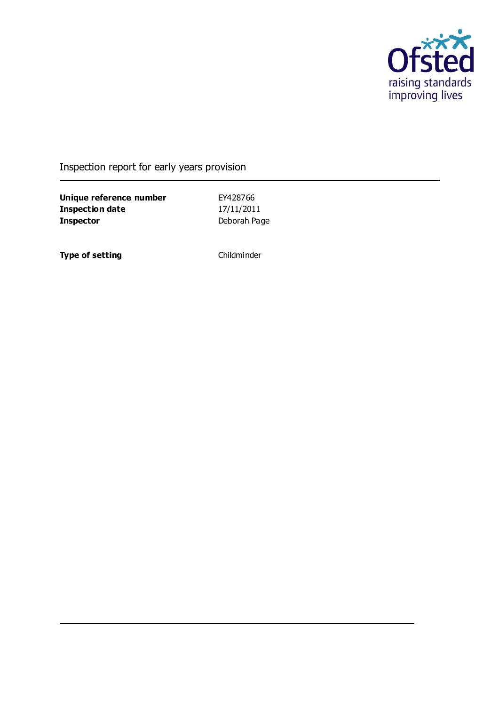

Inspection report for early years provision

**Unique reference number** EY428766 **Inspection date** 17/11/2011 **Inspector** Deborah Page

**Type of setting** Childminder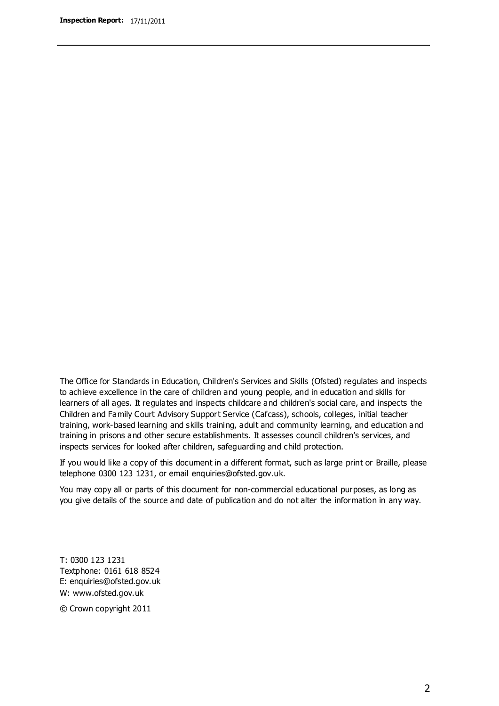The Office for Standards in Education, Children's Services and Skills (Ofsted) regulates and inspects to achieve excellence in the care of children and young people, and in education and skills for learners of all ages. It regulates and inspects childcare and children's social care, and inspects the Children and Family Court Advisory Support Service (Cafcass), schools, colleges, initial teacher training, work-based learning and skills training, adult and community learning, and education and training in prisons and other secure establishments. It assesses council children's services, and inspects services for looked after children, safeguarding and child protection.

If you would like a copy of this document in a different format, such as large print or Braille, please telephone 0300 123 1231, or email enquiries@ofsted.gov.uk.

You may copy all or parts of this document for non-commercial educational purposes, as long as you give details of the source and date of publication and do not alter the information in any way.

T: 0300 123 1231 Textphone: 0161 618 8524 E: enquiries@ofsted.gov.uk W: [www.ofsted.gov.uk](http://www.ofsted.gov.uk/)

© Crown copyright 2011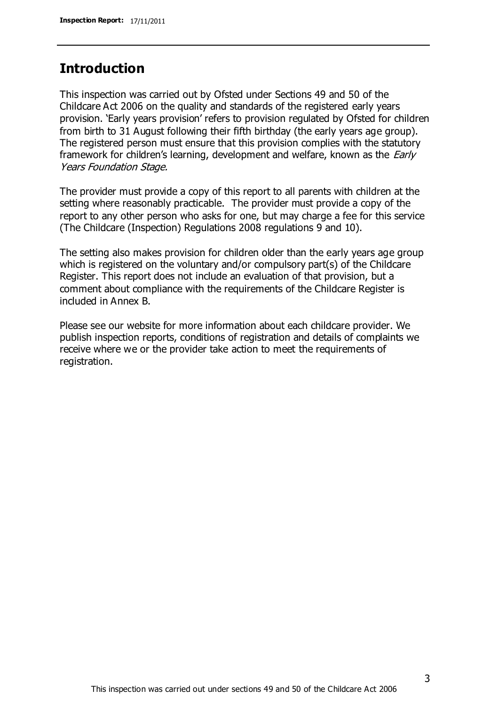## **Introduction**

This inspection was carried out by Ofsted under Sections 49 and 50 of the Childcare Act 2006 on the quality and standards of the registered early years provision. 'Early years provision' refers to provision regulated by Ofsted for children from birth to 31 August following their fifth birthday (the early years age group). The registered person must ensure that this provision complies with the statutory framework for children's learning, development and welfare, known as the *Early* Years Foundation Stage.

The provider must provide a copy of this report to all parents with children at the setting where reasonably practicable. The provider must provide a copy of the report to any other person who asks for one, but may charge a fee for this service (The Childcare (Inspection) Regulations 2008 regulations 9 and 10).

The setting also makes provision for children older than the early years age group which is registered on the voluntary and/or compulsory part(s) of the Childcare Register. This report does not include an evaluation of that provision, but a comment about compliance with the requirements of the Childcare Register is included in Annex B.

Please see our website for more information about each childcare provider. We publish inspection reports, conditions of registration and details of complaints we receive where we or the provider take action to meet the requirements of registration.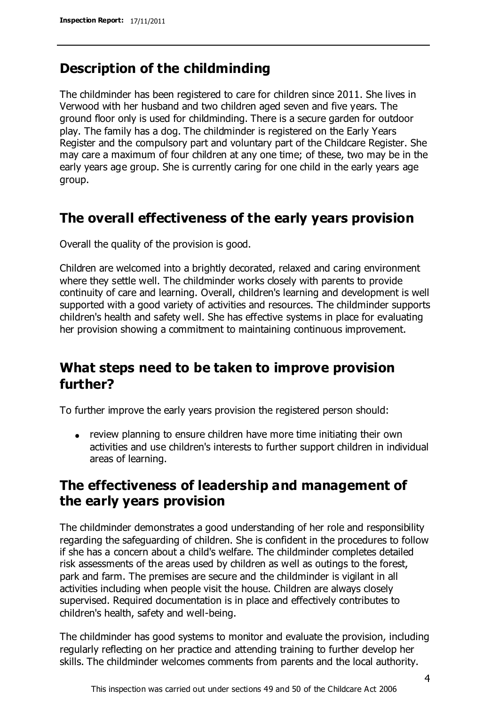## **Description of the childminding**

The childminder has been registered to care for children since 2011. She lives in Verwood with her husband and two children aged seven and five years. The ground floor only is used for childminding. There is a secure garden for outdoor play. The family has a dog. The childminder is registered on the Early Years Register and the compulsory part and voluntary part of the Childcare Register. She may care a maximum of four children at any one time; of these, two may be in the early years age group. She is currently caring for one child in the early years age group.

## **The overall effectiveness of the early years provision**

Overall the quality of the provision is good.

Children are welcomed into a brightly decorated, relaxed and caring environment where they settle well. The childminder works closely with parents to provide continuity of care and learning. Overall, children's learning and development is well supported with a good variety of activities and resources. The childminder supports children's health and safety well. She has effective systems in place for evaluating her provision showing a commitment to maintaining continuous improvement.

## **What steps need to be taken to improve provision further?**

To further improve the early years provision the registered person should:

review planning to ensure children have more time initiating their own activities and use children's interests to further support children in individual areas of learning.

## **The effectiveness of leadership and management of the early years provision**

The childminder demonstrates a good understanding of her role and responsibility regarding the safeguarding of children. She is confident in the procedures to follow if she has a concern about a child's welfare. The childminder completes detailed risk assessments of the areas used by children as well as outings to the forest, park and farm. The premises are secure and the childminder is vigilant in all activities including when people visit the house. Children are always closely supervised. Required documentation is in place and effectively contributes to children's health, safety and well-being.

The childminder has good systems to monitor and evaluate the provision, including regularly reflecting on her practice and attending training to further develop her skills. The childminder welcomes comments from parents and the local authority.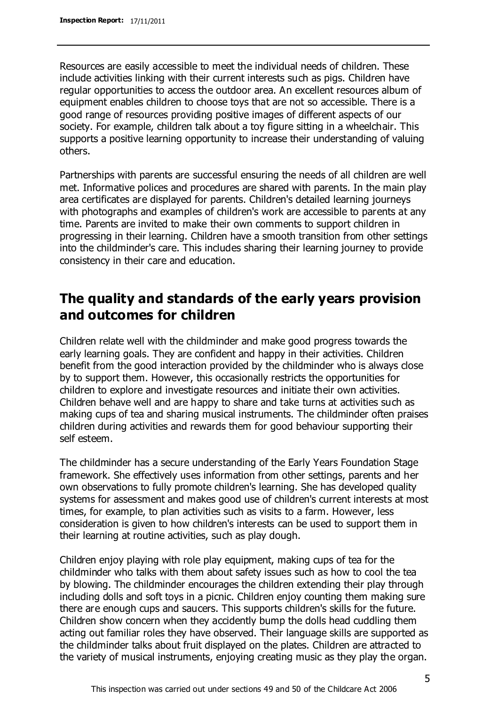Resources are easily accessible to meet the individual needs of children. These include activities linking with their current interests such as pigs. Children have regular opportunities to access the outdoor area. An excellent resources album of equipment enables children to choose toys that are not so accessible. There is a good range of resources providing positive images of different aspects of our society. For example, children talk about a toy figure sitting in a wheelchair. This supports a positive learning opportunity to increase their understanding of valuing others.

Partnerships with parents are successful ensuring the needs of all children are well met. Informative polices and procedures are shared with parents. In the main play area certificates are displayed for parents. Children's detailed learning journeys with photographs and examples of children's work are accessible to parents at any time. Parents are invited to make their own comments to support children in progressing in their learning. Children have a smooth transition from other settings into the childminder's care. This includes sharing their learning journey to provide consistency in their care and education.

## **The quality and standards of the early years provision and outcomes for children**

Children relate well with the childminder and make good progress towards the early learning goals. They are confident and happy in their activities. Children benefit from the good interaction provided by the childminder who is always close by to support them. However, this occasionally restricts the opportunities for children to explore and investigate resources and initiate their own activities. Children behave well and are happy to share and take turns at activities such as making cups of tea and sharing musical instruments. The childminder often praises children during activities and rewards them for good behaviour supporting their self esteem.

The childminder has a secure understanding of the Early Years Foundation Stage framework. She effectively uses information from other settings, parents and her own observations to fully promote children's learning. She has developed quality systems for assessment and makes good use of children's current interests at most times, for example, to plan activities such as visits to a farm. However, less consideration is given to how children's interests can be used to support them in their learning at routine activities, such as play dough.

Children enjoy playing with role play equipment, making cups of tea for the childminder who talks with them about safety issues such as how to cool the tea by blowing. The childminder encourages the children extending their play through including dolls and soft toys in a picnic. Children enjoy counting them making sure there are enough cups and saucers. This supports children's skills for the future. Children show concern when they accidently bump the dolls head cuddling them acting out familiar roles they have observed. Their language skills are supported as the childminder talks about fruit displayed on the plates. Children are attracted to the variety of musical instruments, enjoying creating music as they play the organ.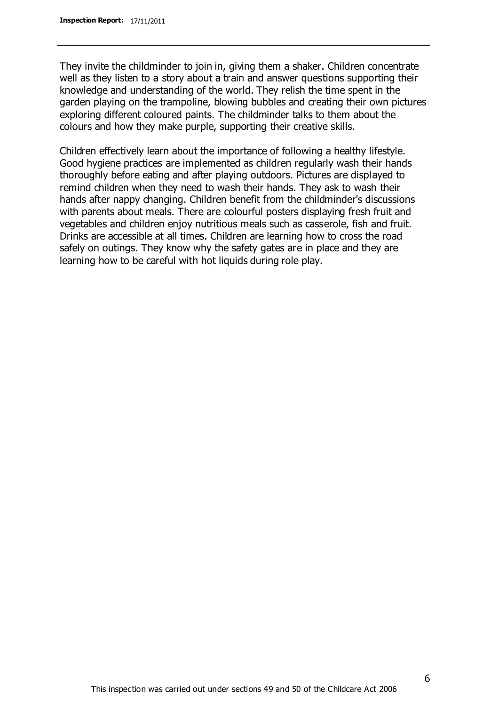They invite the childminder to join in, giving them a shaker. Children concentrate well as they listen to a story about a train and answer questions supporting their knowledge and understanding of the world. They relish the time spent in the garden playing on the trampoline, blowing bubbles and creating their own pictures exploring different coloured paints. The childminder talks to them about the colours and how they make purple, supporting their creative skills.

Children effectively learn about the importance of following a healthy lifestyle. Good hygiene practices are implemented as children regularly wash their hands thoroughly before eating and after playing outdoors. Pictures are displayed to remind children when they need to wash their hands. They ask to wash their hands after nappy changing. Children benefit from the childminder's discussions with parents about meals. There are colourful posters displaying fresh fruit and vegetables and children enjoy nutritious meals such as casserole, fish and fruit. Drinks are accessible at all times. Children are learning how to cross the road safely on outings. They know why the safety gates are in place and they are learning how to be careful with hot liquids during role play.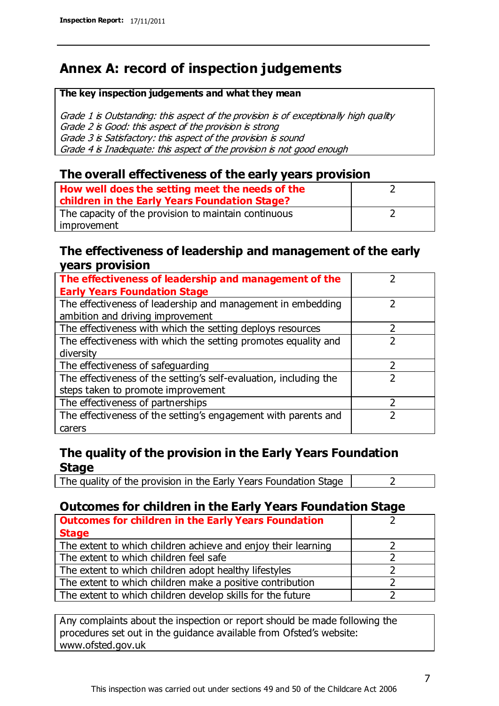## **Annex A: record of inspection judgements**

#### **The key inspection judgements and what they mean**

Grade 1 is Outstanding: this aspect of the provision is of exceptionally high quality Grade 2 is Good: this aspect of the provision is strong Grade 3 is Satisfactory: this aspect of the provision is sound Grade 4 is Inadequate: this aspect of the provision is not good enough

### **The overall effectiveness of the early years provision**

| How well does the setting meet the needs of the<br>children in the Early Years Foundation Stage? |  |
|--------------------------------------------------------------------------------------------------|--|
| The capacity of the provision to maintain continuous                                             |  |
| improvement                                                                                      |  |

### **The effectiveness of leadership and management of the early years provision**

| The effectiveness of leadership and management of the             |  |
|-------------------------------------------------------------------|--|
| <b>Early Years Foundation Stage</b>                               |  |
| The effectiveness of leadership and management in embedding       |  |
| ambition and driving improvement                                  |  |
| The effectiveness with which the setting deploys resources        |  |
| The effectiveness with which the setting promotes equality and    |  |
| diversity                                                         |  |
| The effectiveness of safeguarding                                 |  |
| The effectiveness of the setting's self-evaluation, including the |  |
| steps taken to promote improvement                                |  |
| The effectiveness of partnerships                                 |  |
| The effectiveness of the setting's engagement with parents and    |  |
| carers                                                            |  |

### **The quality of the provision in the Early Years Foundation Stage**

The quality of the provision in the Early Years Foundation Stage  $\vert$  2

### **Outcomes for children in the Early Years Foundation Stage**

| <b>Outcomes for children in the Early Years Foundation</b>    |  |
|---------------------------------------------------------------|--|
| <b>Stage</b>                                                  |  |
| The extent to which children achieve and enjoy their learning |  |
| The extent to which children feel safe                        |  |
| The extent to which children adopt healthy lifestyles         |  |
| The extent to which children make a positive contribution     |  |
| The extent to which children develop skills for the future    |  |

Any complaints about the inspection or report should be made following the procedures set out in the guidance available from Ofsted's website: www.ofsted.gov.uk